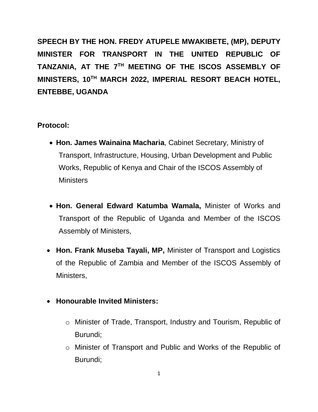**SPEECH BY THE HON. FREDY ATUPELE MWAKIBETE, (MP), DEPUTY MINISTER FOR TRANSPORT IN THE UNITED REPUBLIC OF**  TANZANIA, AT THE 7TH MEETING OF THE ISCOS ASSEMBLY OF **MINISTERS, 10TH MARCH 2022, IMPERIAL RESORT BEACH HOTEL, ENTEBBE, UGANDA**

#### **Protocol:**

- **Hon. James Wainaina Macharia**, Cabinet Secretary, Ministry of Transport, Infrastructure, Housing, Urban Development and Public Works, Republic of Kenya and Chair of the ISCOS Assembly of **Ministers**
- **Hon. General Edward Katumba Wamala,** Minister of Works and Transport of the Republic of Uganda and Member of the ISCOS Assembly of Ministers,
- **Hon. Frank Museba Tayali, MP,** Minister of Transport and Logistics of the Republic of Zambia and Member of the ISCOS Assembly of Ministers,

#### **Honourable Invited Ministers:**

- o Minister of Trade, Transport, Industry and Tourism, Republic of Burundi;
- o Minister of Transport and Public and Works of the Republic of Burundi;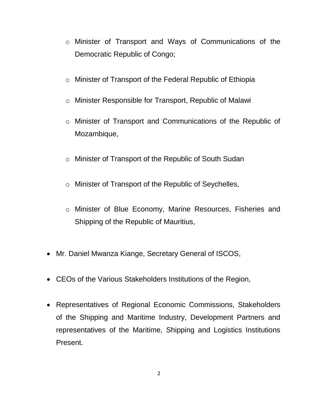- o Minister of Transport and Ways of Communications of the Democratic Republic of Congo;
- o Minister of Transport of the Federal Republic of Ethiopia
- o Minister Responsible for Transport, Republic of Malawi
- o Minister of Transport and Communications of the Republic of Mozambique,
- o Minister of Transport of the Republic of South Sudan
- o Minister of Transport of the Republic of Seychelles,
- o Minister of Blue Economy, Marine Resources, Fisheries and Shipping of the Republic of Mauritius,
- Mr. Daniel Mwanza Kiange, Secretary General of ISCOS,
- CEOs of the Various Stakeholders Institutions of the Region,
- Representatives of Regional Economic Commissions, Stakeholders of the Shipping and Maritime Industry, Development Partners and representatives of the Maritime, Shipping and Logistics Institutions Present.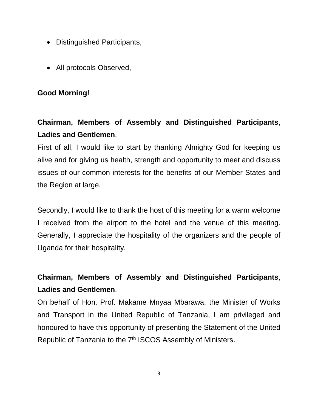- Distinguished Participants,
- All protocols Observed,

#### **Good Morning!**

## **Chairman, Members of Assembly and Distinguished Participants**, **Ladies and Gentlemen**,

First of all, I would like to start by thanking Almighty God for keeping us alive and for giving us health, strength and opportunity to meet and discuss issues of our common interests for the benefits of our Member States and the Region at large.

Secondly, I would like to thank the host of this meeting for a warm welcome I received from the airport to the hotel and the venue of this meeting. Generally, I appreciate the hospitality of the organizers and the people of Uganda for their hospitality.

# **Chairman, Members of Assembly and Distinguished Participants**, **Ladies and Gentlemen**,

On behalf of Hon. Prof. Makame Mnyaa Mbarawa, the Minister of Works and Transport in the United Republic of Tanzania, I am privileged and honoured to have this opportunity of presenting the Statement of the United Republic of Tanzania to the 7<sup>th</sup> ISCOS Assembly of Ministers.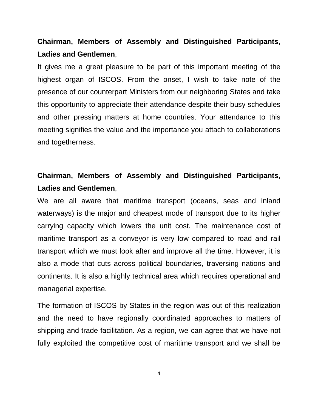#### **Chairman, Members of Assembly and Distinguished Participants**, **Ladies and Gentlemen**,

It gives me a great pleasure to be part of this important meeting of the highest organ of ISCOS. From the onset, I wish to take note of the presence of our counterpart Ministers from our neighboring States and take this opportunity to appreciate their attendance despite their busy schedules and other pressing matters at home countries. Your attendance to this meeting signifies the value and the importance you attach to collaborations and togetherness.

## **Chairman, Members of Assembly and Distinguished Participants**, **Ladies and Gentlemen**,

We are all aware that maritime transport (oceans, seas and inland waterways) is the major and cheapest mode of transport due to its higher carrying capacity which lowers the unit cost. The maintenance cost of maritime transport as a conveyor is very low compared to road and rail transport which we must look after and improve all the time. However, it is also a mode that cuts across political boundaries, traversing nations and continents. It is also a highly technical area which requires operational and managerial expertise.

The formation of ISCOS by States in the region was out of this realization and the need to have regionally coordinated approaches to matters of shipping and trade facilitation. As a region, we can agree that we have not fully exploited the competitive cost of maritime transport and we shall be

4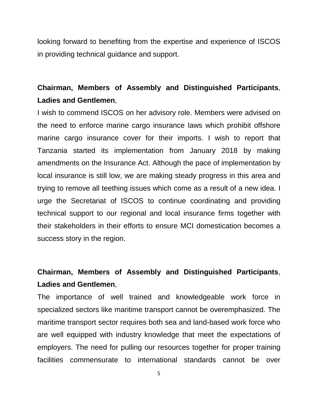looking forward to benefiting from the expertise and experience of ISCOS in providing technical guidance and support.

## **Chairman, Members of Assembly and Distinguished Participants**, **Ladies and Gentlemen**,

I wish to commend ISCOS on her advisory role. Members were advised on the need to enforce marine cargo insurance laws which prohibit offshore marine cargo insurance cover for their imports. I wish to report that Tanzania started its implementation from January 2018 by making amendments on the Insurance Act. Although the pace of implementation by local insurance is still low, we are making steady progress in this area and trying to remove all teething issues which come as a result of a new idea. I urge the Secretariat of ISCOS to continue coordinating and providing technical support to our regional and local insurance firms together with their stakeholders in their efforts to ensure MCI domestication becomes a success story in the region.

## **Chairman, Members of Assembly and Distinguished Participants**, **Ladies and Gentlemen**,

The importance of well trained and knowledgeable work force in specialized sectors like maritime transport cannot be overemphasized. The maritime transport sector requires both sea and land-based work force who are well equipped with industry knowledge that meet the expectations of employers. The need for pulling our resources together for proper training facilities commensurate to international standards cannot be over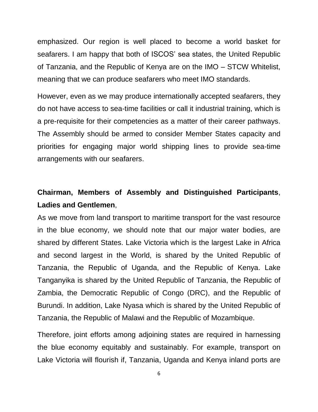emphasized. Our region is well placed to become a world basket for seafarers. I am happy that both of ISCOS' sea states, the United Republic of Tanzania, and the Republic of Kenya are on the IMO – STCW Whitelist, meaning that we can produce seafarers who meet IMO standards.

However, even as we may produce internationally accepted seafarers, they do not have access to sea-time facilities or call it industrial training, which is a pre-requisite for their competencies as a matter of their career pathways. The Assembly should be armed to consider Member States capacity and priorities for engaging major world shipping lines to provide sea-time arrangements with our seafarers.

## **Chairman, Members of Assembly and Distinguished Participants**, **Ladies and Gentlemen**,

As we move from land transport to maritime transport for the vast resource in the blue economy, we should note that our major water bodies, are shared by different States. Lake Victoria which is the largest Lake in Africa and second largest in the World, is shared by the United Republic of Tanzania, the Republic of Uganda, and the Republic of Kenya. Lake Tanganyika is shared by the United Republic of Tanzania, the Republic of Zambia, the Democratic Republic of Congo (DRC), and the Republic of Burundi. In addition, Lake Nyasa which is shared by the United Republic of Tanzania, the Republic of Malawi and the Republic of Mozambique.

Therefore, joint efforts among adjoining states are required in harnessing the blue economy equitably and sustainably. For example, transport on Lake Victoria will flourish if, Tanzania, Uganda and Kenya inland ports are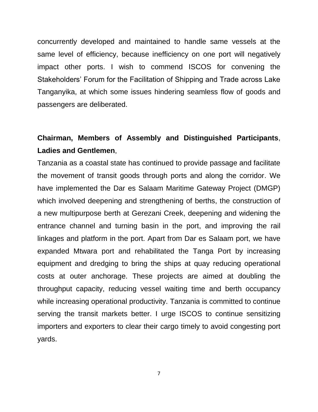concurrently developed and maintained to handle same vessels at the same level of efficiency, because inefficiency on one port will negatively impact other ports. I wish to commend ISCOS for convening the Stakeholders' Forum for the Facilitation of Shipping and Trade across Lake Tanganyika, at which some issues hindering seamless flow of goods and passengers are deliberated.

## **Chairman, Members of Assembly and Distinguished Participants**, **Ladies and Gentlemen**,

Tanzania as a coastal state has continued to provide passage and facilitate the movement of transit goods through ports and along the corridor. We have implemented the Dar es Salaam Maritime Gateway Project (DMGP) which involved deepening and strengthening of berths, the construction of a new multipurpose berth at Gerezani Creek, deepening and widening the entrance channel and turning basin in the port, and improving the rail linkages and platform in the port. Apart from Dar es Salaam port, we have expanded Mtwara port and rehabilitated the Tanga Port by increasing equipment and dredging to bring the ships at quay reducing operational costs at outer anchorage. These projects are aimed at doubling the throughput capacity, reducing vessel waiting time and berth occupancy while increasing operational productivity. Tanzania is committed to continue serving the transit markets better. I urge ISCOS to continue sensitizing importers and exporters to clear their cargo timely to avoid congesting port yards.

7